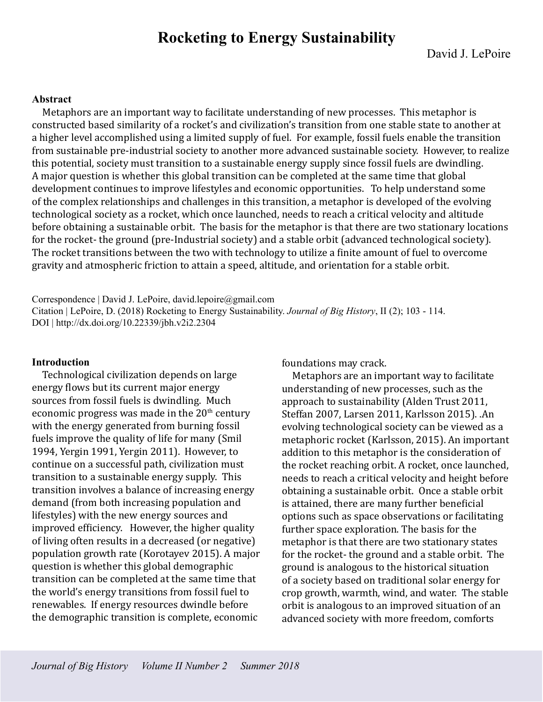# **Rocketing to Energy Sustainability**

#### **Abstract**

Metaphors are an important way to facilitate understanding of new processes. This metaphor is constructed based similarity of a rocket's and civilization's transition from one stable state to another at a higher level accomplished using a limited supply of fuel. For example, fossil fuels enable the transition from sustainable pre-industrial society to another more advanced sustainable society. However, to realize this potential, society must transition to a sustainable energy supply since fossil fuels are dwindling. A major question is whether this global transition can be completed at the same time that global development continues to improve lifestyles and economic opportunities. To help understand some of the complex relationships and challenges in this transition, a metaphor is developed of the evolving technological society as a rocket, which once launched, needs to reach a critical velocity and altitude before obtaining a sustainable orbit. The basis for the metaphor is that there are two stationary locations for the rocket- the ground (pre-Industrial society) and a stable orbit (advanced technological society). The rocket transitions between the two with technology to utilize a finite amount of fuel to overcome gravity and atmospheric friction to attain a speed, altitude, and orientation for a stable orbit.

Correspondence | David J. LePoire, david.lepoire@gmail.com Citation | LePoire, D. (2018) Rocketing to Energy Sustainability. *Journal of Big History*, II (2); 103 - 114. DOI | http://dx.doi.org/10.22339/jbh.v2i2.2304

#### **Introduction**

Technological civilization depends on large energy flows but its current major energy sources from fossil fuels is dwindling. Much economic progress was made in the  $20<sup>th</sup>$  century with the energy generated from burning fossil fuels improve the quality of life for many (Smil 1994, Yergin 1991, Yergin 2011). However, to continue on a successful path, civilization must transition to a sustainable energy supply. This transition involves a balance of increasing energy demand (from both increasing population and lifestyles) with the new energy sources and improved efficiency. However, the higher quality of living often results in a decreased (or negative) population growth rate (Korotayev 2015). A major question is whether this global demographic transition can be completed at the same time that the world's energy transitions from fossil fuel to renewables. If energy resources dwindle before the demographic transition is complete, economic

foundations may crack.

Metaphors are an important way to facilitate understanding of new processes, such as the approach to sustainability (Alden Trust 2011, Steffan 2007, Larsen 2011, Karlsson 2015). .An evolving technological society can be viewed as a metaphoric rocket (Karlsson, 2015). An important addition to this metaphor is the consideration of the rocket reaching orbit. A rocket, once launched, needs to reach a critical velocity and height before obtaining a sustainable orbit. Once a stable orbit is attained, there are many further beneficial options such as space observations or facilitating further space exploration. The basis for the metaphor is that there are two stationary states for the rocket- the ground and a stable orbit. The ground is analogous to the historical situation of a society based on traditional solar energy for crop growth, warmth, wind, and water. The stable orbit is analogous to an improved situation of an advanced society with more freedom, comforts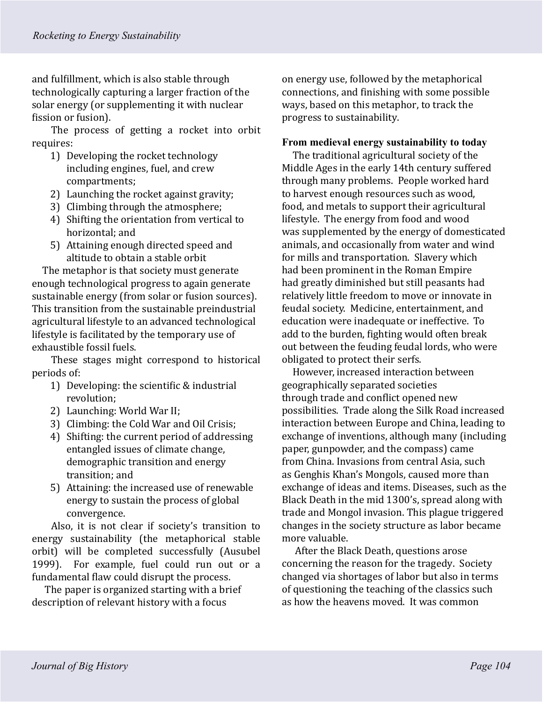and fulfillment, which is also stable through technologically capturing a larger fraction of the solar energy (or supplementing it with nuclear fission or fusion).

The process of getting a rocket into orbit requires:

- 1) Developing the rocket technology including engines, fuel, and crew compartments;
- 2) Launching the rocket against gravity;
- 3) Climbing through the atmosphere;
- 4) Shifting the orientation from vertical to horizontal; and
- 5) Attaining enough directed speed and altitude to obtain a stable orbit

The metaphor is that society must generate enough technological progress to again generate sustainable energy (from solar or fusion sources). This transition from the sustainable preindustrial agricultural lifestyle to an advanced technological lifestyle is facilitated by the temporary use of exhaustible fossil fuels.

These stages might correspond to historical periods of:

- 1) Developing: the scientific & industrial revolution;
- 2) Launching: World War II;
- 3) Climbing: the Cold War and Oil Crisis;
- 4) Shifting: the current period of addressing entangled issues of climate change, demographic transition and energy transition; and
- 5) Attaining: the increased use of renewable energy to sustain the process of global convergence.

Also, it is not clear if society's transition to energy sustainability (the metaphorical stable orbit) will be completed successfully (Ausubel 1999). For example, fuel could run out or a fundamental flaw could disrupt the process.

The paper is organized starting with a brief description of relevant history with a focus

on energy use, followed by the metaphorical connections, and finishing with some possible ways, based on this metaphor, to track the progress to sustainability.

#### **From medieval energy sustainability to today**

The traditional agricultural society of the Middle Ages in the early 14th century suffered through many problems. People worked hard to harvest enough resources such as wood, food, and metals to support their agricultural lifestyle. The energy from food and wood was supplemented by the energy of domesticated animals, and occasionally from water and wind for mills and transportation. Slavery which had been prominent in the Roman Empire had greatly diminished but still peasants had relatively little freedom to move or innovate in feudal society. Medicine, entertainment, and education were inadequate or ineffective. To add to the burden, fighting would often break out between the feuding feudal lords, who were obligated to protect their serfs.

However, increased interaction between geographically separated societies through trade and conflict opened new possibilities. Trade along the Silk Road increased interaction between Europe and China, leading to exchange of inventions, although many (including paper, gunpowder, and the compass) came from China. Invasions from central Asia, such as Genghis Khan's Mongols, caused more than exchange of ideas and items. Diseases, such as the Black Death in the mid 1300's, spread along with trade and Mongol invasion. This plague triggered changes in the society structure as labor became more valuable.

After the Black Death, questions arose concerning the reason for the tragedy. Society changed via shortages of labor but also in terms of questioning the teaching of the classics such as how the heavens moved. It was common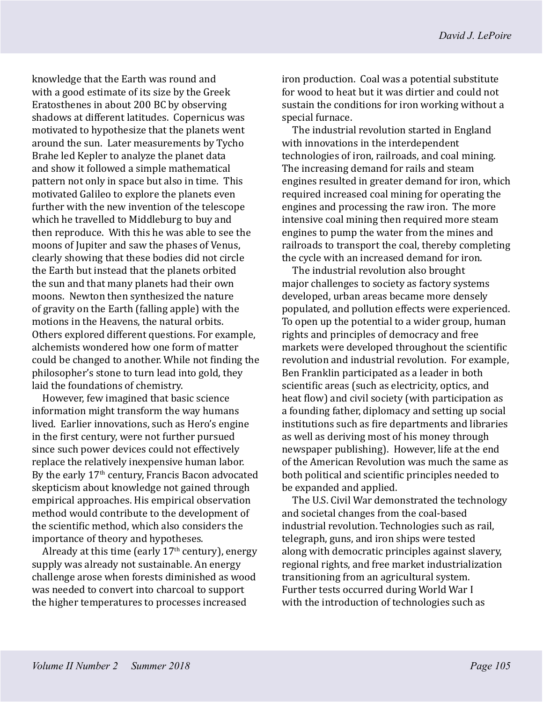knowledge that the Earth was round and with a good estimate of its size by the Greek Eratosthenes in about 200 BC by observing shadows at different latitudes. Copernicus was motivated to hypothesize that the planets went around the sun. Later measurements by Tycho Brahe led Kepler to analyze the planet data and show it followed a simple mathematical pattern not only in space but also in time. This motivated Galileo to explore the planets even further with the new invention of the telescope which he travelled to Middleburg to buy and then reproduce. With this he was able to see the moons of Jupiter and saw the phases of Venus, clearly showing that these bodies did not circle the Earth but instead that the planets orbited the sun and that many planets had their own moons. Newton then synthesized the nature of gravity on the Earth (falling apple) with the motions in the Heavens, the natural orbits. Others explored different questions. For example, alchemists wondered how one form of matter could be changed to another. While not finding the philosopher's stone to turn lead into gold, they laid the foundations of chemistry.

However, few imagined that basic science information might transform the way humans lived. Earlier innovations, such as Hero's engine in the first century, were not further pursued since such power devices could not effectively replace the relatively inexpensive human labor. By the early 17<sup>th</sup> century, Francis Bacon advocated skepticism about knowledge not gained through empirical approaches. His empirical observation method would contribute to the development of the scientific method, which also considers the importance of theory and hypotheses.

Already at this time (early  $17<sup>th</sup>$  century), energy supply was already not sustainable. An energy challenge arose when forests diminished as wood was needed to convert into charcoal to support the higher temperatures to processes increased

iron production. Coal was a potential substitute for wood to heat but it was dirtier and could not sustain the conditions for iron working without a special furnace.

The industrial revolution started in England with innovations in the interdependent technologies of iron, railroads, and coal mining. The increasing demand for rails and steam engines resulted in greater demand for iron, which required increased coal mining for operating the engines and processing the raw iron. The more intensive coal mining then required more steam engines to pump the water from the mines and railroads to transport the coal, thereby completing the cycle with an increased demand for iron.

The industrial revolution also brought major challenges to society as factory systems developed, urban areas became more densely populated, and pollution effects were experienced. To open up the potential to a wider group, human rights and principles of democracy and free markets were developed throughout the scientific revolution and industrial revolution. For example, Ben Franklin participated as a leader in both scientific areas (such as electricity, optics, and heat flow) and civil society (with participation as a founding father, diplomacy and setting up social institutions such as fire departments and libraries as well as deriving most of his money through newspaper publishing). However, life at the end of the American Revolution was much the same as both political and scientific principles needed to be expanded and applied.

The U.S. Civil War demonstrated the technology and societal changes from the coal-based industrial revolution. Technologies such as rail, telegraph, guns, and iron ships were tested along with democratic principles against slavery, regional rights, and free market industrialization transitioning from an agricultural system. Further tests occurred during World War I with the introduction of technologies such as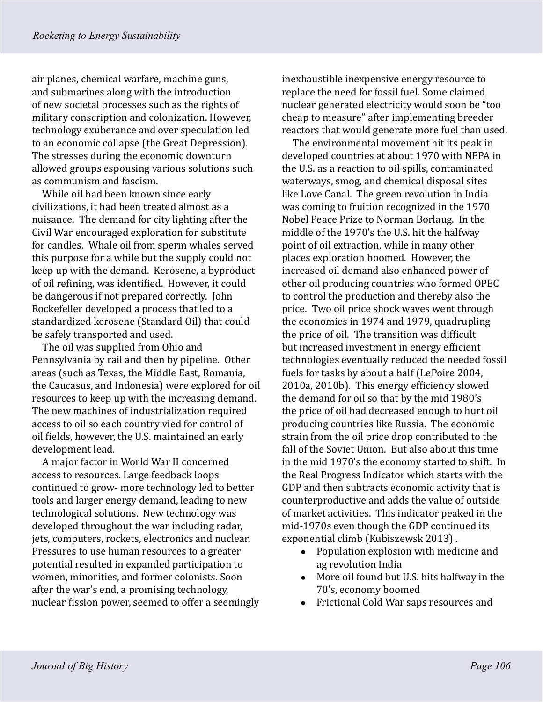air planes, chemical warfare, machine guns, and submarines along with the introduction of new societal processes such as the rights of military conscription and colonization. However, technology exuberance and over speculation led to an economic collapse (the Great Depression). The stresses during the economic downturn allowed groups espousing various solutions such as communism and fascism.

While oil had been known since early civilizations, it had been treated almost as a nuisance. The demand for city lighting after the Civil War encouraged exploration for substitute for candles. Whale oil from sperm whales served this purpose for a while but the supply could not keep up with the demand. Kerosene, a byproduct of oil refining, was identified. However, it could be dangerous if not prepared correctly. John Rockefeller developed a process that led to a standardized kerosene (Standard Oil) that could be safely transported and used.

The oil was supplied from Ohio and Pennsylvania by rail and then by pipeline. Other areas (such as Texas, the Middle East, Romania, the Caucasus, and Indonesia) were explored for oil resources to keep up with the increasing demand. The new machines of industrialization required access to oil so each country vied for control of oil fields, however, the U.S. maintained an early development lead.

A major factor in World War II concerned access to resources. Large feedback loops continued to grow- more technology led to better tools and larger energy demand, leading to new technological solutions. New technology was developed throughout the war including radar, jets, computers, rockets, electronics and nuclear. Pressures to use human resources to a greater potential resulted in expanded participation to women, minorities, and former colonists. Soon after the war's end, a promising technology, nuclear fission power, seemed to offer a seemingly inexhaustible inexpensive energy resource to replace the need for fossil fuel. Some claimed nuclear generated electricity would soon be "too cheap to measure" after implementing breeder reactors that would generate more fuel than used.

The environmental movement hit its peak in developed countries at about 1970 with NEPA in the U.S. as a reaction to oil spills, contaminated waterways, smog, and chemical disposal sites like Love Canal. The green revolution in India was coming to fruition recognized in the 1970 Nobel Peace Prize to Norman Borlaug. In the middle of the 1970's the U.S. hit the halfway point of oil extraction, while in many other places exploration boomed. However, the increased oil demand also enhanced power of other oil producing countries who formed OPEC to control the production and thereby also the price. Two oil price shock waves went through the economies in 1974 and 1979, quadrupling the price of oil. The transition was difficult but increased investment in energy efficient technologies eventually reduced the needed fossil fuels for tasks by about a half (LePoire 2004, 2010a, 2010b). This energy efficiency slowed the demand for oil so that by the mid 1980's the price of oil had decreased enough to hurt oil producing countries like Russia. The economic strain from the oil price drop contributed to the fall of the Soviet Union. But also about this time in the mid 1970's the economy started to shift. In the Real Progress Indicator which starts with the GDP and then subtracts economic activity that is counterproductive and adds the value of outside of market activities. This indicator peaked in the mid-1970s even though the GDP continued its exponential climb (Kubiszewsk 2013) .

- Population explosion with medicine and ag revolution India
- More oil found but U.S. hits halfway in the 70's, economy boomed
- Frictional Cold War saps resources and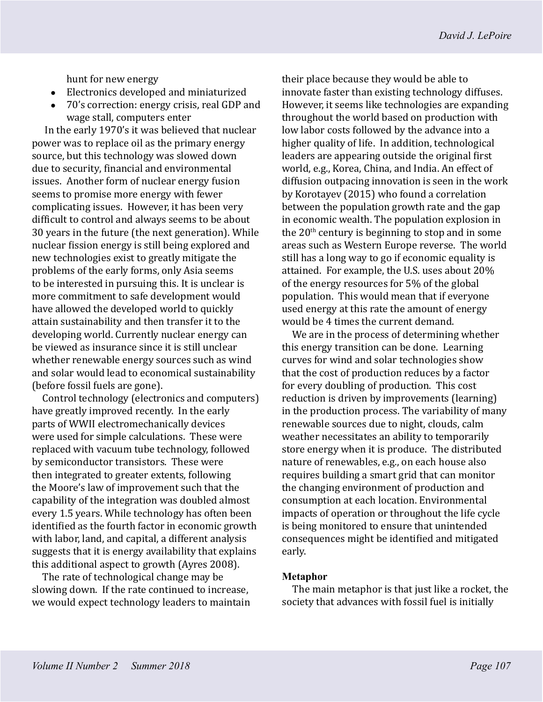hunt for new energy

- Electronics developed and miniaturized
- 70's correction: energy crisis, real GDP and wage stall, computers enter

In the early 1970's it was believed that nuclear power was to replace oil as the primary energy source, but this technology was slowed down due to security, financial and environmental issues. Another form of nuclear energy fusion seems to promise more energy with fewer complicating issues. However, it has been very difficult to control and always seems to be about 30 years in the future (the next generation). While nuclear fission energy is still being explored and new technologies exist to greatly mitigate the problems of the early forms, only Asia seems to be interested in pursuing this. It is unclear is more commitment to safe development would have allowed the developed world to quickly attain sustainability and then transfer it to the developing world. Currently nuclear energy can be viewed as insurance since it is still unclear whether renewable energy sources such as wind and solar would lead to economical sustainability (before fossil fuels are gone).

Control technology (electronics and computers) have greatly improved recently. In the early parts of WWII electromechanically devices were used for simple calculations. These were replaced with vacuum tube technology, followed by semiconductor transistors. These were then integrated to greater extents, following the Moore's law of improvement such that the capability of the integration was doubled almost every 1.5 years. While technology has often been identified as the fourth factor in economic growth with labor, land, and capital, a different analysis suggests that it is energy availability that explains this additional aspect to growth (Ayres 2008).

The rate of technological change may be slowing down. If the rate continued to increase, we would expect technology leaders to maintain

their place because they would be able to innovate faster than existing technology diffuses. However, it seems like technologies are expanding throughout the world based on production with low labor costs followed by the advance into a higher quality of life. In addition, technological leaders are appearing outside the original first world, e.g., Korea, China, and India. An effect of diffusion outpacing innovation is seen in the work by Korotayev (2015) who found a correlation between the population growth rate and the gap in economic wealth. The population explosion in the  $20<sup>th</sup>$  century is beginning to stop and in some areas such as Western Europe reverse. The world still has a long way to go if economic equality is attained. For example, the U.S. uses about 20% of the energy resources for 5% of the global population. This would mean that if everyone used energy at this rate the amount of energy would be 4 times the current demand.

We are in the process of determining whether this energy transition can be done. Learning curves for wind and solar technologies show that the cost of production reduces by a factor for every doubling of production. This cost reduction is driven by improvements (learning) in the production process. The variability of many renewable sources due to night, clouds, calm weather necessitates an ability to temporarily store energy when it is produce. The distributed nature of renewables, e.g., on each house also requires building a smart grid that can monitor the changing environment of production and consumption at each location. Environmental impacts of operation or throughout the life cycle is being monitored to ensure that unintended consequences might be identified and mitigated early.

#### **Metaphor**

The main metaphor is that just like a rocket, the society that advances with fossil fuel is initially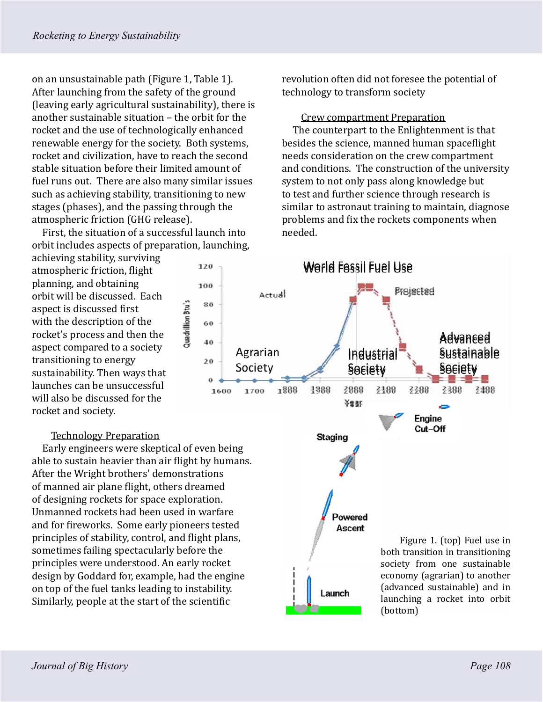on an unsustainable path (Figure 1, Table 1). After launching from the safety of the ground (leaving early agricultural sustainability), there is another sustainable situation – the orbit for the rocket and the use of technologically enhanced renewable energy for the society. Both systems, rocket and civilization, have to reach the second stable situation before their limited amount of fuel runs out. There are also many similar issues such as achieving stability, transitioning to new stages (phases), and the passing through the atmospheric friction (GHG release).

First, the situation of a successful launch into orbit includes aspects of preparation, launching,

120

100

80

60

40

 $20$ 

1600

Quadrillion Btu's

achieving stability, surviving atmospheric friction, flight planning, and obtaining orbit will be discussed. Each aspect is discussed first with the description of the rocket's process and then the aspect compared to a society transitioning to energy sustainability. Then ways that launches can be unsuccessful will also be discussed for the rocket and society.

## Technology Preparation

Early engineers were skeptical of even being able to sustain heavier than air flight by humans. After the Wright brothers' demonstrations of manned air plane flight, others dreamed of designing rockets for space exploration. Unmanned rockets had been used in warfare and for fireworks. Some early pioneers tested principles of stability, control, and flight plans, sometimes failing spectacularly before the principles were understood. An early rocket design by Goddard for, example, had the engine on top of the fuel tanks leading to instability. Similarly, people at the start of the scientific

revolution often did not foresee the potential of technology to transform society

Crew compartment Preparation

The counterpart to the Enlightenment is that besides the science, manned human spaceflight needs consideration on the crew compartment and conditions. The construction of the university system to not only pass along knowledge but to test and further science through research is similar to astronaut training to maintain, diagnose problems and fix the rockets components when needed.

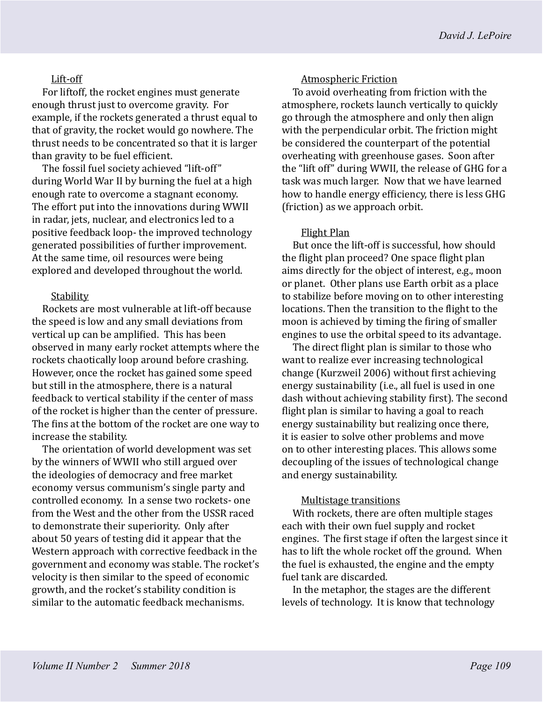# Lift-off

For liftoff, the rocket engines must generate enough thrust just to overcome gravity. For example, if the rockets generated a thrust equal to that of gravity, the rocket would go nowhere. The thrust needs to be concentrated so that it is larger than gravity to be fuel efficient.

The fossil fuel society achieved "lift-off" during World War II by burning the fuel at a high enough rate to overcome a stagnant economy. The effort put into the innovations during WWII in radar, jets, nuclear, and electronics led to a positive feedback loop- the improved technology generated possibilities of further improvement. At the same time, oil resources were being explored and developed throughout the world.

# **Stability**

Rockets are most vulnerable at lift-off because the speed is low and any small deviations from vertical up can be amplified. This has been observed in many early rocket attempts where the rockets chaotically loop around before crashing. However, once the rocket has gained some speed but still in the atmosphere, there is a natural feedback to vertical stability if the center of mass of the rocket is higher than the center of pressure. The fins at the bottom of the rocket are one way to increase the stability.

The orientation of world development was set by the winners of WWII who still argued over the ideologies of democracy and free market economy versus communism's single party and controlled economy. In a sense two rockets- one from the West and the other from the USSR raced to demonstrate their superiority. Only after about 50 years of testing did it appear that the Western approach with corrective feedback in the government and economy was stable. The rocket's velocity is then similar to the speed of economic growth, and the rocket's stability condition is similar to the automatic feedback mechanisms.

# Atmospheric Friction

To avoid overheating from friction with the atmosphere, rockets launch vertically to quickly go through the atmosphere and only then align with the perpendicular orbit. The friction might be considered the counterpart of the potential overheating with greenhouse gases. Soon after the "lift off" during WWII, the release of GHG for a task was much larger. Now that we have learned how to handle energy efficiency, there is less GHG (friction) as we approach orbit.

# Flight Plan

But once the lift-off is successful, how should the flight plan proceed? One space flight plan aims directly for the object of interest, e.g., moon or planet. Other plans use Earth orbit as a place to stabilize before moving on to other interesting locations. Then the transition to the flight to the moon is achieved by timing the firing of smaller engines to use the orbital speed to its advantage.

The direct flight plan is similar to those who want to realize ever increasing technological change (Kurzweil 2006) without first achieving energy sustainability (i.e., all fuel is used in one dash without achieving stability first). The second flight plan is similar to having a goal to reach energy sustainability but realizing once there, it is easier to solve other problems and move on to other interesting places. This allows some decoupling of the issues of technological change and energy sustainability.

## Multistage transitions

With rockets, there are often multiple stages each with their own fuel supply and rocket engines. The first stage if often the largest since it has to lift the whole rocket off the ground. When the fuel is exhausted, the engine and the empty fuel tank are discarded.

In the metaphor, the stages are the different levels of technology. It is know that technology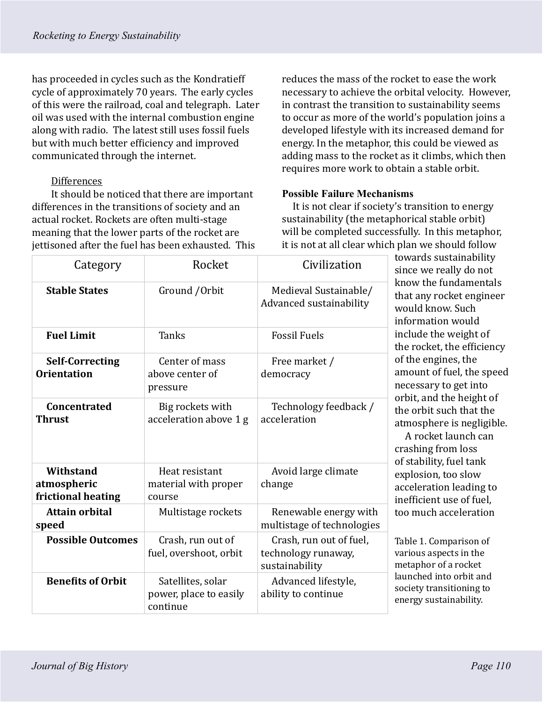has proceeded in cycles such as the Kondratieff cycle of approximately 70 years. The early cycles of this were the railroad, coal and telegraph. Later oil was used with the internal combustion engine along with radio. The latest still uses fossil fuels but with much better efficiency and improved communicated through the internet.

# Differences

It should be noticed that there are important differences in the transitions of society and an actual rocket. Rockets are often multi-stage meaning that the lower parts of the rocket are jettisoned after the fuel has been exhausted. This reduces the mass of the rocket to ease the work necessary to achieve the orbital velocity. However, in contrast the transition to sustainability seems to occur as more of the world's population joins a developed lifestyle with its increased demand for energy. In the metaphor, this could be viewed as adding mass to the rocket as it climbs, which then requires more work to obtain a stable orbit.

## **Possible Failure Mechanisms**

It is not clear if society's transition to energy sustainability (the metaphorical stable orbit) will be completed successfully. In this metaphor, it is not at all clear which plan we should follow

| Category                                       | Rocket                                                  | Civilization                                                     | towards sustainability<br>since we really do not<br>know the fundamentals<br>that any rocket engineer<br>would know. Such<br>information would<br>include the weight of<br>the rocket, the efficiency<br>of the engines, the<br>amount of fuel, the speed<br>necessary to get into<br>orbit, and the height of<br>the orbit such that the<br>atmosphere is negligible.<br>A rocket launch can<br>crashing from loss<br>of stability, fuel tank<br>explosion, too slow<br>acceleration leading to<br>inefficient use of fuel. |
|------------------------------------------------|---------------------------------------------------------|------------------------------------------------------------------|------------------------------------------------------------------------------------------------------------------------------------------------------------------------------------------------------------------------------------------------------------------------------------------------------------------------------------------------------------------------------------------------------------------------------------------------------------------------------------------------------------------------------|
| <b>Stable States</b>                           | Ground / Orbit                                          | Medieval Sustainable/<br>Advanced sustainability                 |                                                                                                                                                                                                                                                                                                                                                                                                                                                                                                                              |
| <b>Fuel Limit</b>                              | <b>Tanks</b>                                            | <b>Fossil Fuels</b>                                              |                                                                                                                                                                                                                                                                                                                                                                                                                                                                                                                              |
| <b>Self-Correcting</b><br><b>Orientation</b>   | Center of mass<br>above center of<br>pressure           | Free market /<br>democracy                                       |                                                                                                                                                                                                                                                                                                                                                                                                                                                                                                                              |
| <b>Concentrated</b><br><b>Thrust</b>           | Big rockets with<br>acceleration above 1 g              | Technology feedback /<br>acceleration                            |                                                                                                                                                                                                                                                                                                                                                                                                                                                                                                                              |
| Withstand<br>atmospheric<br>frictional heating | Heat resistant<br>material with proper<br>course        | Avoid large climate<br>change                                    |                                                                                                                                                                                                                                                                                                                                                                                                                                                                                                                              |
| <b>Attain orbital</b><br>speed                 | Multistage rockets                                      | Renewable energy with<br>multistage of technologies              | too much acceleration                                                                                                                                                                                                                                                                                                                                                                                                                                                                                                        |
| <b>Possible Outcomes</b>                       | Crash, run out of<br>fuel, overshoot, orbit             | Crash, run out of fuel,<br>technology runaway,<br>sustainability | Table 1. Comparison of<br>various aspects in the<br>metaphor of a rocket<br>launched into orbit and<br>society transitioning to<br>energy sustainability.                                                                                                                                                                                                                                                                                                                                                                    |
| <b>Benefits of Orbit</b>                       | Satellites, solar<br>power, place to easily<br>continue | Advanced lifestyle,<br>ability to continue                       |                                                                                                                                                                                                                                                                                                                                                                                                                                                                                                                              |

*Journal of Big History Page 110*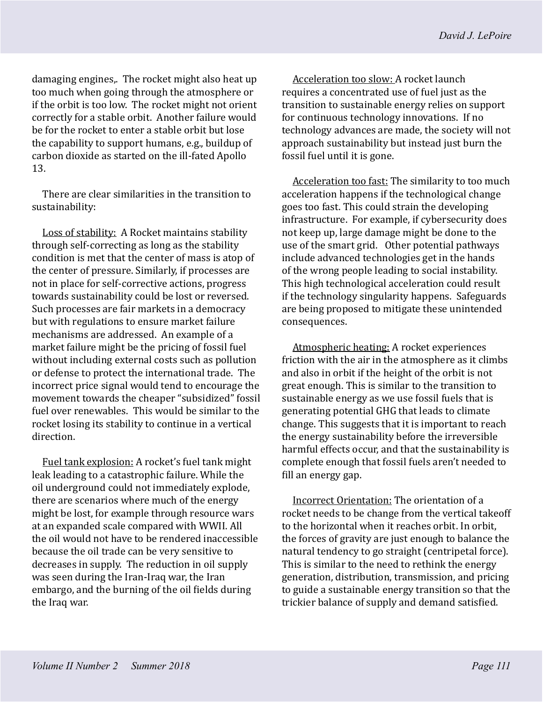damaging engines,. The rocket might also heat up too much when going through the atmosphere or if the orbit is too low. The rocket might not orient correctly for a stable orbit. Another failure would be for the rocket to enter a stable orbit but lose the capability to support humans, e.g., buildup of carbon dioxide as started on the ill-fated Apollo 13.

There are clear similarities in the transition to sustainability:

Loss of stability: A Rocket maintains stability through self-correcting as long as the stability condition is met that the center of mass is atop of the center of pressure. Similarly, if processes are not in place for self-corrective actions, progress towards sustainability could be lost or reversed. Such processes are fair markets in a democracy but with regulations to ensure market failure mechanisms are addressed. An example of a market failure might be the pricing of fossil fuel without including external costs such as pollution or defense to protect the international trade. The incorrect price signal would tend to encourage the movement towards the cheaper "subsidized" fossil fuel over renewables. This would be similar to the rocket losing its stability to continue in a vertical direction.

Fuel tank explosion: A rocket's fuel tank might leak leading to a catastrophic failure. While the oil underground could not immediately explode, there are scenarios where much of the energy might be lost, for example through resource wars at an expanded scale compared with WWII. All the oil would not have to be rendered inaccessible because the oil trade can be very sensitive to decreases in supply. The reduction in oil supply was seen during the Iran-Iraq war, the Iran embargo, and the burning of the oil fields during the Iraq war.

Acceleration too slow: A rocket launch requires a concentrated use of fuel just as the transition to sustainable energy relies on support for continuous technology innovations. If no technology advances are made, the society will not approach sustainability but instead just burn the fossil fuel until it is gone.

Acceleration too fast: The similarity to too much acceleration happens if the technological change goes too fast. This could strain the developing infrastructure. For example, if cybersecurity does not keep up, large damage might be done to the use of the smart grid. Other potential pathways include advanced technologies get in the hands of the wrong people leading to social instability. This high technological acceleration could result if the technology singularity happens. Safeguards are being proposed to mitigate these unintended consequences.

Atmospheric heating: A rocket experiences friction with the air in the atmosphere as it climbs and also in orbit if the height of the orbit is not great enough. This is similar to the transition to sustainable energy as we use fossil fuels that is generating potential GHG that leads to climate change. This suggests that it is important to reach the energy sustainability before the irreversible harmful effects occur, and that the sustainability is complete enough that fossil fuels aren't needed to fill an energy gap.

Incorrect Orientation: The orientation of a rocket needs to be change from the vertical takeoff to the horizontal when it reaches orbit. In orbit, the forces of gravity are just enough to balance the natural tendency to go straight (centripetal force). This is similar to the need to rethink the energy generation, distribution, transmission, and pricing to guide a sustainable energy transition so that the trickier balance of supply and demand satisfied.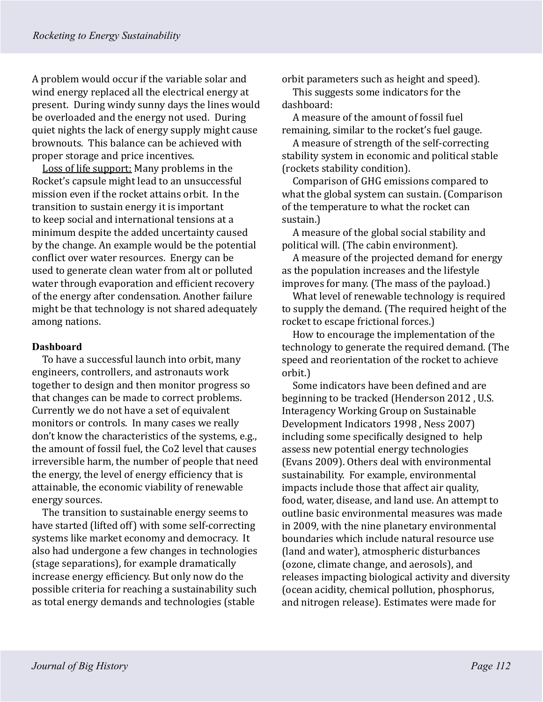A problem would occur if the variable solar and wind energy replaced all the electrical energy at present. During windy sunny days the lines would be overloaded and the energy not used. During quiet nights the lack of energy supply might cause brownouts. This balance can be achieved with proper storage and price incentives.

Loss of life support: Many problems in the Rocket's capsule might lead to an unsuccessful mission even if the rocket attains orbit. In the transition to sustain energy it is important to keep social and international tensions at a minimum despite the added uncertainty caused by the change. An example would be the potential conflict over water resources. Energy can be used to generate clean water from alt or polluted water through evaporation and efficient recovery of the energy after condensation. Another failure might be that technology is not shared adequately among nations.

#### **Dashboard**

To have a successful launch into orbit, many engineers, controllers, and astronauts work together to design and then monitor progress so that changes can be made to correct problems. Currently we do not have a set of equivalent monitors or controls. In many cases we really don't know the characteristics of the systems, e.g., the amount of fossil fuel, the Co2 level that causes irreversible harm, the number of people that need the energy, the level of energy efficiency that is attainable, the economic viability of renewable energy sources.

The transition to sustainable energy seems to have started (lifted off) with some self-correcting systems like market economy and democracy. It also had undergone a few changes in technologies (stage separations), for example dramatically increase energy efficiency. But only now do the possible criteria for reaching a sustainability such as total energy demands and technologies (stable

orbit parameters such as height and speed).

This suggests some indicators for the dashboard:

A measure of the amount of fossil fuel remaining, similar to the rocket's fuel gauge.

A measure of strength of the self-correcting stability system in economic and political stable (rockets stability condition).

Comparison of GHG emissions compared to what the global system can sustain. (Comparison of the temperature to what the rocket can sustain.)

A measure of the global social stability and political will. (The cabin environment).

A measure of the projected demand for energy as the population increases and the lifestyle improves for many. (The mass of the payload.)

What level of renewable technology is required to supply the demand. (The required height of the rocket to escape frictional forces.)

How to encourage the implementation of the technology to generate the required demand. (The speed and reorientation of the rocket to achieve orbit.)

Some indicators have been defined and are beginning to be tracked (Henderson 2012 , U.S. Interagency Working Group on Sustainable Development Indicators 1998 , Ness 2007) including some specifically designed to help assess new potential energy technologies (Evans 2009). Others deal with environmental sustainability. For example, environmental impacts include those that affect air quality, food, water, disease, and land use. An attempt to outline basic environmental measures was made in 2009, with the nine planetary environmental boundaries which include natural resource use (land and water), atmospheric disturbances (ozone, climate change, and aerosols), and releases impacting biological activity and diversity (ocean acidity, chemical pollution, phosphorus, and nitrogen release). Estimates were made for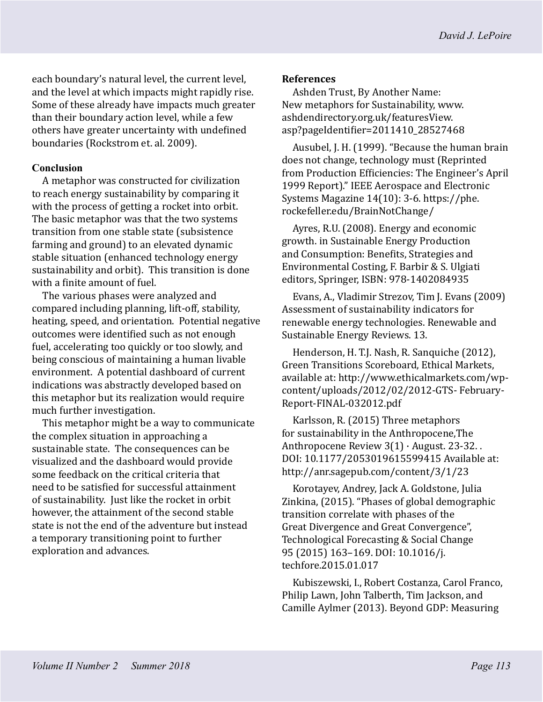each boundary's natural level, the current level, and the level at which impacts might rapidly rise. Some of these already have impacts much greater than their boundary action level, while a few others have greater uncertainty with undefined boundaries (Rockstrom et. al. 2009).

## **Conclusion**

A metaphor was constructed for civilization to reach energy sustainability by comparing it with the process of getting a rocket into orbit. The basic metaphor was that the two systems transition from one stable state (subsistence farming and ground) to an elevated dynamic stable situation (enhanced technology energy sustainability and orbit). This transition is done with a finite amount of fuel.

The various phases were analyzed and compared including planning, lift-off, stability, heating, speed, and orientation. Potential negative outcomes were identified such as not enough fuel, accelerating too quickly or too slowly, and being conscious of maintaining a human livable environment. A potential dashboard of current indications was abstractly developed based on this metaphor but its realization would require much further investigation.

This metaphor might be a way to communicate the complex situation in approaching a sustainable state. The consequences can be visualized and the dashboard would provide some feedback on the critical criteria that need to be satisfied for successful attainment of sustainability. Just like the rocket in orbit however, the attainment of the second stable state is not the end of the adventure but instead a temporary transitioning point to further exploration and advances.

## **References**

Ashden Trust, By Another Name: New metaphors for Sustainability, www. ashdendirectory.org.uk/featuresView. asp?pageIdentifier=2011410\_28527468

Ausubel, J. H. (1999). "Because the human brain does not change, technology must (Reprinted from Production Efficiencies: The Engineer's April 1999 Report)." IEEE Aerospace and Electronic Systems Magazine 14(10): 3-6. https://phe. rockefeller.edu/BrainNotChange/

Ayres, R.U. (2008). Energy and economic growth. in Sustainable Energy Production and Consumption: Benefits, Strategies and Environmental Costing, F. Barbir & S. Ulgiati editors, Springer, ISBN: 978-1402084935

Evans, A., Vladimir Strezov, Tim J. Evans (2009) Assessment of sustainability indicators for renewable energy technologies. Renewable and Sustainable Energy Reviews. 13.

Henderson, H. T.J. Nash, R. Sanquiche (2012), Green Transitions Scoreboard, Ethical Markets, available at: http://www.ethicalmarkets.com/wpcontent/uploads/2012/02/2012-GTS- February-Report-FINAL-032012.pdf

Karlsson, R. (2015) Three metaphors for sustainability in the Anthropocene,The Anthropocene Review 3(1) · August. 23-32. . DOI: 10.1177/2053019615599415 Available at: http://anr.sagepub.com/content/3/1/23

Korotayev, Andrey, Jack A. Goldstone, Julia Zinkina, (2015). "Phases of global demographic transition correlate with phases of the Great Divergence and Great Convergence", Technological Forecasting & Social Change 95 (2015) 163–169. DOI: 10.1016/j. techfore.2015.01.017

Kubiszewski, I., Robert Costanza, Carol Franco, Philip Lawn, John Talberth, Tim Jackson, and Camille Aylmer (2013). Beyond GDP: Measuring